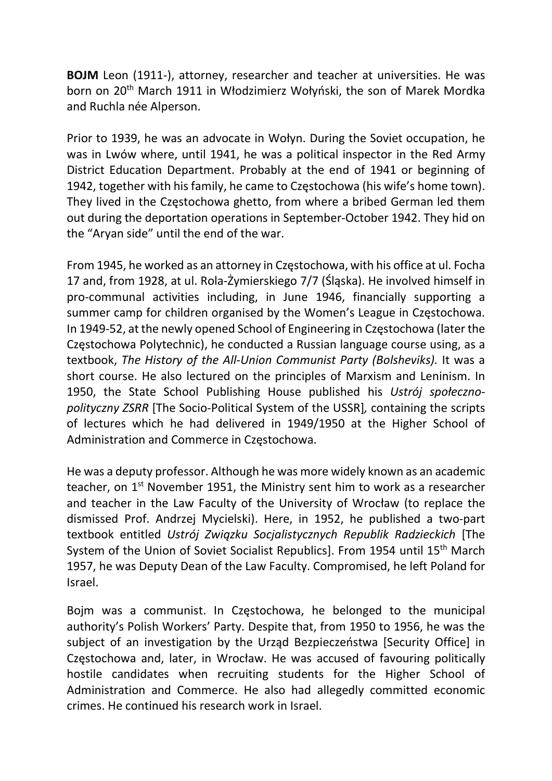BOJM Leon (1911-), attorney, researcher and teacher at universities. He was born on 20<sup>th</sup> March 1911 in Włodzimierz Wołyński, the son of Marek Mordka and Ruchla née Alperson.

Prior to 1939, he was an advocate in Wołyn. During the Soviet occupation, he was in Lwów where, until 1941, he was a political inspector in the Red Army District Education Department. Probably at the end of 1941 or beginning of 1942, together with his family, he came to Częstochowa (his wife's home town). They lived in the Częstochowa ghetto, from where a bribed German led them out during the deportation operations in September-October 1942. They hid on the "Aryan side" until the end of the war.

From 1945, he worked as an attorney in Częstochowa, with his office at ul. Focha 17 and, from 1928, at ul. Rola-Żymierskiego 7/7 (Śląska). He involved himself in pro-communal activities including, in June 1946, financially supporting a summer camp for children organised by the Women's League in Częstochowa. In 1949-52, at the newly opened School of Engineering in Częstochowa (later the Częstochowa Polytechnic), he conducted a Russian language course using, as a textbook, The History of the All-Union Communist Party (Bolsheviks). It was a short course. He also lectured on the principles of Marxism and Leninism. In 1950, the State School Publishing House published his Ustrój społecznopolityczny ZSRR [The Socio-Political System of the USSR], containing the scripts of lectures which he had delivered in 1949/1950 at the Higher School of Administration and Commerce in Częstochowa.

He was a deputy professor. Although he was more widely known as an academic teacher, on 1<sup>st</sup> November 1951, the Ministry sent him to work as a researcher and teacher in the Law Faculty of the University of Wrocław (to replace the dismissed Prof. Andrzej Mycielski). Here, in 1952, he published a two-part textbook entitled Ustrój Związku Socjalistycznych Republik Radzieckich [The System of the Union of Soviet Socialist Republics]. From 1954 until 15<sup>th</sup> March 1957, he was Deputy Dean of the Law Faculty. Compromised, he left Poland for Israel.

Bojm was a communist. In Częstochowa, he belonged to the municipal authority's Polish Workers' Party. Despite that, from 1950 to 1956, he was the subject of an investigation by the Urząd Bezpieczeństwa [Security Office] in Częstochowa and, later, in Wrocław. He was accused of favouring politically hostile candidates when recruiting students for the Higher School of Administration and Commerce. He also had allegedly committed economic crimes. He continued his research work in Israel.